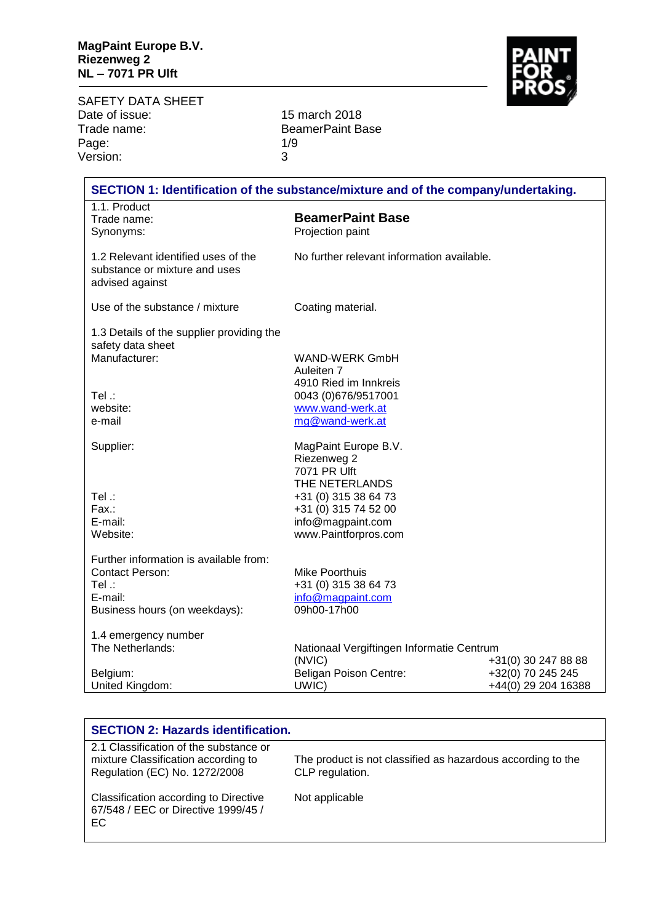SAFETY DATA SHEET<br>Date of issue: Date of issue: 15 march 2018<br>Trade name: 15 march 2018 Page: 1/9<br>
Version: 3 Version:

BeamerPaint Base<br>1/9

| SECTION 1: Identification of the substance/mixture and of the company/undertaking. |                                            |                     |
|------------------------------------------------------------------------------------|--------------------------------------------|---------------------|
| 1.1. Product                                                                       |                                            |                     |
| Trade name:                                                                        | <b>BeamerPaint Base</b>                    |                     |
| Synonyms:                                                                          | Projection paint                           |                     |
|                                                                                    |                                            |                     |
| 1.2 Relevant identified uses of the<br>substance or mixture and uses               | No further relevant information available. |                     |
| advised against                                                                    |                                            |                     |
| Use of the substance / mixture                                                     | Coating material.                          |                     |
| 1.3 Details of the supplier providing the<br>safety data sheet                     |                                            |                     |
| Manufacturer:                                                                      | <b>WAND-WERK GmbH</b>                      |                     |
|                                                                                    | Auleiten 7                                 |                     |
|                                                                                    | 4910 Ried im Innkreis                      |                     |
| $Tel$ :                                                                            | 0043 (0)676/9517001                        |                     |
| website:                                                                           | www.wand-werk.at                           |                     |
| e-mail                                                                             | mg@wand-werk.at                            |                     |
|                                                                                    |                                            |                     |
| Supplier:                                                                          | MagPaint Europe B.V.                       |                     |
|                                                                                    | Riezenweg 2                                |                     |
|                                                                                    | 7071 PR Ulft                               |                     |
|                                                                                    | THE NETERLANDS                             |                     |
| Tel .:                                                                             | +31 (0) 315 38 64 73                       |                     |
| Fax.:                                                                              | +31 (0) 315 74 52 00                       |                     |
| E-mail:                                                                            | info@magpaint.com                          |                     |
| Website:                                                                           | www.Paintforpros.com                       |                     |
|                                                                                    |                                            |                     |
| Further information is available from:                                             |                                            |                     |
| <b>Contact Person:</b>                                                             | <b>Mike Poorthuis</b>                      |                     |
| Tel:                                                                               | +31 (0) 315 38 64 73                       |                     |
| E-mail:                                                                            | info@magpaint.com                          |                     |
| Business hours (on weekdays):                                                      | 09h00-17h00                                |                     |
| 1.4 emergency number                                                               |                                            |                     |
| The Netherlands:                                                                   | Nationaal Vergiftingen Informatie Centrum  |                     |
|                                                                                    | (NVIC)                                     | +31(0) 30 247 88 88 |
| Belgium:                                                                           | Beligan Poison Centre:                     | +32(0) 70 245 245   |
| United Kingdom:                                                                    | UWIC)                                      | +44(0) 29 204 16388 |

| <b>SECTION 2: Hazards identification.</b>                                           |                                                             |
|-------------------------------------------------------------------------------------|-------------------------------------------------------------|
| 2.1 Classification of the substance or                                              |                                                             |
| mixture Classification according to                                                 | The product is not classified as hazardous according to the |
| Regulation (EC) No. 1272/2008                                                       | CLP regulation.                                             |
| Classification according to Directive<br>67/548 / EEC or Directive 1999/45 /<br>EC. | Not applicable                                              |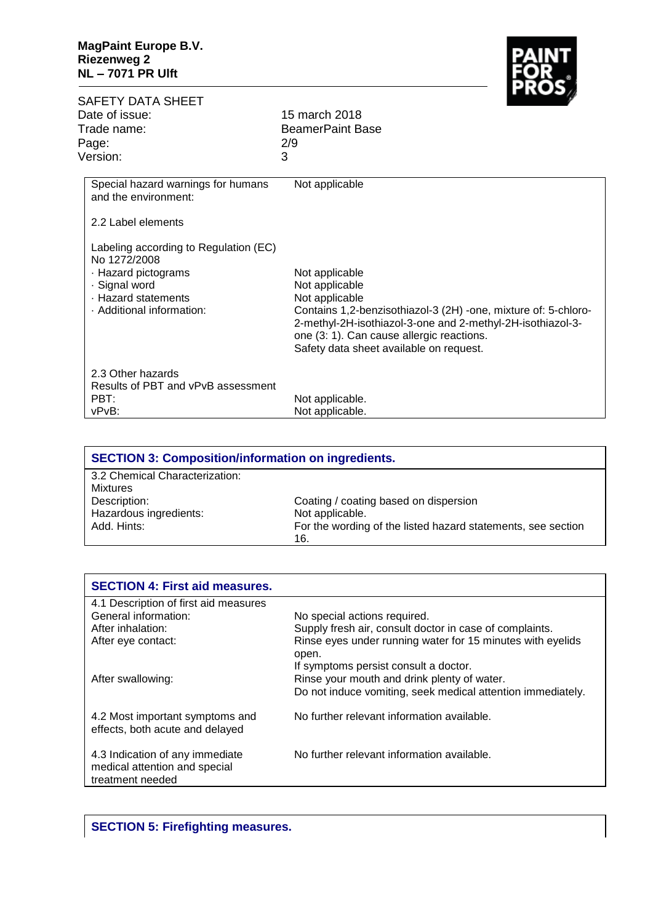

SAFETY DATA SHEET<br>Date of issue: 15 march 2018 Trade name: BeamerPaint Base Page: 2/9 Version: 3 Special hazard warnings for humans and the environment: 2.2 Label elements Labeling according to Regulation (EC) No 1272/2008 · Hazard pictograms · Signal word · Hazard statements · Additional information: 2.3 Other hazards Results of PBT and vPvB assessment PBT: vPvB: Not applicable Not applicable Not applicable Not applicable Contains 1,2-benzisothiazol-3 (2H) -one, mixture of: 5-chloro-2-methyl-2H-isothiazol-3-one and 2-methyl-2H-isothiazol-3 one (3: 1). Can cause allergic reactions. Safety data sheet available on request. Not applicable. Not applicable.

| <b>SECTION 3: Composition/information on ingredients.</b> |                                                              |
|-----------------------------------------------------------|--------------------------------------------------------------|
| 3.2 Chemical Characterization:                            |                                                              |
| <b>Mixtures</b>                                           |                                                              |
| Description:                                              | Coating / coating based on dispersion                        |
| Hazardous ingredients:                                    | Not applicable.                                              |
| Add. Hints:                                               | For the wording of the listed hazard statements, see section |
|                                                           | 16.                                                          |
|                                                           |                                                              |

| <b>SECTION 4: First aid measures.</b>                                                |                                                             |
|--------------------------------------------------------------------------------------|-------------------------------------------------------------|
| 4.1 Description of first aid measures                                                |                                                             |
| General information:                                                                 | No special actions required.                                |
| After inhalation:                                                                    | Supply fresh air, consult doctor in case of complaints.     |
| After eye contact:                                                                   | Rinse eyes under running water for 15 minutes with eyelids  |
|                                                                                      | open.                                                       |
|                                                                                      | If symptoms persist consult a doctor.                       |
| After swallowing:                                                                    | Rinse your mouth and drink plenty of water.                 |
|                                                                                      | Do not induce vomiting, seek medical attention immediately. |
| 4.2 Most important symptoms and<br>effects, both acute and delayed                   | No further relevant information available.                  |
| 4.3 Indication of any immediate<br>medical attention and special<br>treatment needed | No further relevant information available.                  |
|                                                                                      |                                                             |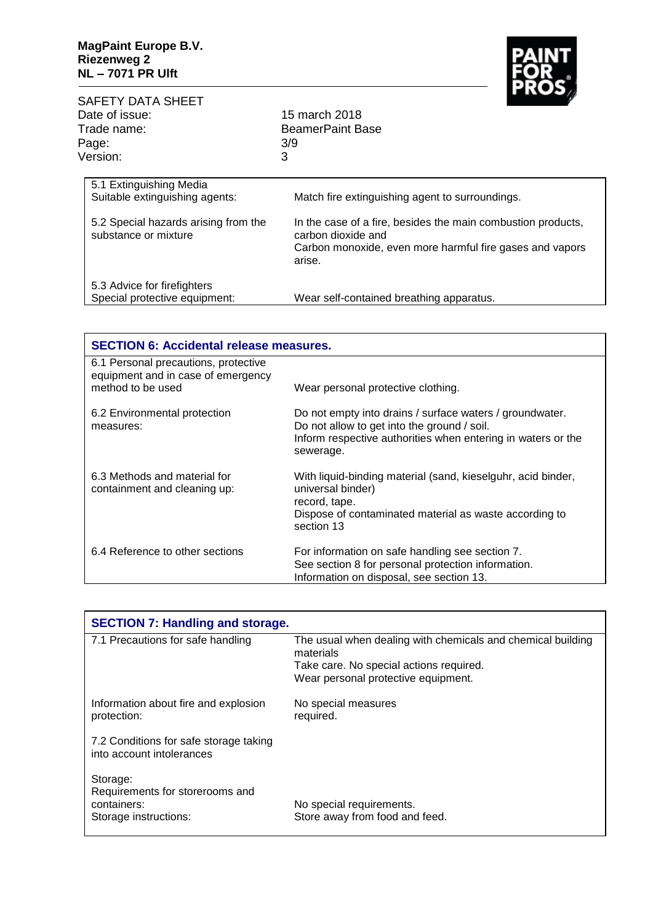

| SAFETY DATA SHEET<br>Date of issue:<br>Trade name:<br>Page:<br>Version:                                                   | $\overline{\phantom{a}}$<br>15 march 2018<br><b>BeamerPaint Base</b><br>3/9<br>3                                                                                                                            |
|---------------------------------------------------------------------------------------------------------------------------|-------------------------------------------------------------------------------------------------------------------------------------------------------------------------------------------------------------|
| 5.1 Extinguishing Media<br>Suitable extinguishing agents:<br>5.2 Special hazards arising from the<br>substance or mixture | Match fire extinguishing agent to surroundings.<br>In the case of a fire, besides the main combustion products,<br>carbon dioxide and<br>Carbon monoxide, even more harmful fire gases and vapors<br>arise. |
| 5.3 Advice for firefighters<br>Special protective equipment:                                                              | Wear self-contained breathing apparatus.                                                                                                                                                                    |

| <b>SECTION 6: Accidental release measures.</b>                                                  |                                                                                                                                                                                      |
|-------------------------------------------------------------------------------------------------|--------------------------------------------------------------------------------------------------------------------------------------------------------------------------------------|
| 6.1 Personal precautions, protective<br>equipment and in case of emergency<br>method to be used | Wear personal protective clothing.                                                                                                                                                   |
| 6.2 Environmental protection<br>measures:                                                       | Do not empty into drains / surface waters / groundwater.<br>Do not allow to get into the ground / soil.<br>Inform respective authorities when entering in waters or the<br>sewerage. |
| 6.3 Methods and material for<br>containment and cleaning up:                                    | With liquid-binding material (sand, kieselguhr, acid binder,<br>universal binder)<br>record, tape.<br>Dispose of contaminated material as waste according to<br>section 13           |
| 6.4 Reference to other sections                                                                 | For information on safe handling see section 7.<br>See section 8 for personal protection information.<br>Information on disposal, see section 13.                                    |

| <b>SECTION 7: Handling and storage.</b>                                             |                                                                          |
|-------------------------------------------------------------------------------------|--------------------------------------------------------------------------|
| 7.1 Precautions for safe handling                                                   | The usual when dealing with chemicals and chemical building<br>materials |
|                                                                                     | Take care. No special actions required.                                  |
|                                                                                     | Wear personal protective equipment.                                      |
| Information about fire and explosion<br>protection:                                 | No special measures<br>required.                                         |
| 7.2 Conditions for safe storage taking<br>into account intolerances                 |                                                                          |
| Storage:<br>Requirements for storerooms and<br>containers:<br>Storage instructions: | No special requirements.<br>Store away from food and feed.               |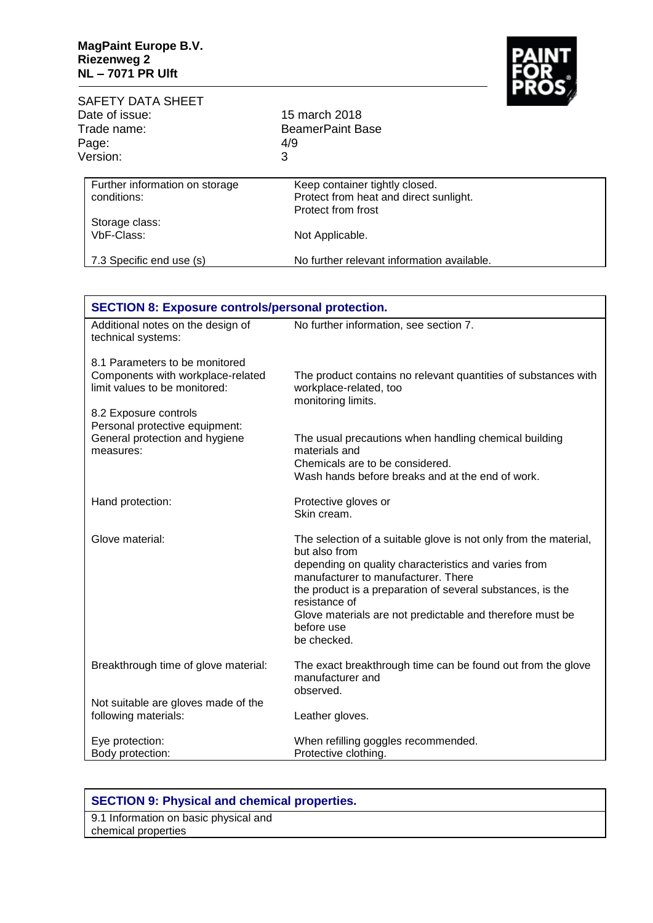$\mathbf{r}$ 



| <b>SAFETY DATA SHEET</b><br>Date of issue:<br>Trade name:<br>Page:<br>Version: | 15 march 2018<br><b>BeamerPaint Base</b><br>4/9<br>3                                           | тез |
|--------------------------------------------------------------------------------|------------------------------------------------------------------------------------------------|-----|
| Further information on storage<br>conditions:                                  | Keep container tightly closed.<br>Protect from heat and direct sunlight.<br>Protect from frost |     |
| Storage class:<br>VbF-Class:                                                   | Not Applicable.                                                                                |     |
| 7.3 Specific end use (s)                                                       | No further relevant information available.                                                     |     |

| <b>SECTION 8: Exposure controls/personal protection.</b>                                             |                                                                                                                                                                                                                                                                                                                                            |  |
|------------------------------------------------------------------------------------------------------|--------------------------------------------------------------------------------------------------------------------------------------------------------------------------------------------------------------------------------------------------------------------------------------------------------------------------------------------|--|
| Additional notes on the design of<br>technical systems:                                              | No further information, see section 7.                                                                                                                                                                                                                                                                                                     |  |
| 8.1 Parameters to be monitored<br>Components with workplace-related<br>limit values to be monitored: | The product contains no relevant quantities of substances with<br>workplace-related, too<br>monitoring limits.                                                                                                                                                                                                                             |  |
| 8.2 Exposure controls<br>Personal protective equipment:                                              |                                                                                                                                                                                                                                                                                                                                            |  |
| General protection and hygiene<br>measures:                                                          | The usual precautions when handling chemical building<br>materials and                                                                                                                                                                                                                                                                     |  |
|                                                                                                      | Chemicals are to be considered.<br>Wash hands before breaks and at the end of work.                                                                                                                                                                                                                                                        |  |
| Hand protection:                                                                                     | Protective gloves or<br>Skin cream.                                                                                                                                                                                                                                                                                                        |  |
| Glove material:                                                                                      | The selection of a suitable glove is not only from the material,<br>but also from<br>depending on quality characteristics and varies from<br>manufacturer to manufacturer. There<br>the product is a preparation of several substances, is the<br>resistance of<br>Glove materials are not predictable and therefore must be<br>before use |  |
|                                                                                                      | be checked.                                                                                                                                                                                                                                                                                                                                |  |
| Breakthrough time of glove material:                                                                 | The exact breakthrough time can be found out from the glove<br>manufacturer and<br>observed.                                                                                                                                                                                                                                               |  |
| Not suitable are gloves made of the<br>following materials:                                          | Leather gloves.                                                                                                                                                                                                                                                                                                                            |  |
| Eye protection:<br>Body protection:                                                                  | When refilling goggles recommended.<br>Protective clothing.                                                                                                                                                                                                                                                                                |  |

## **SECTION 9: Physical and chemical properties.**

9.1 Information on basic physical and chemical properties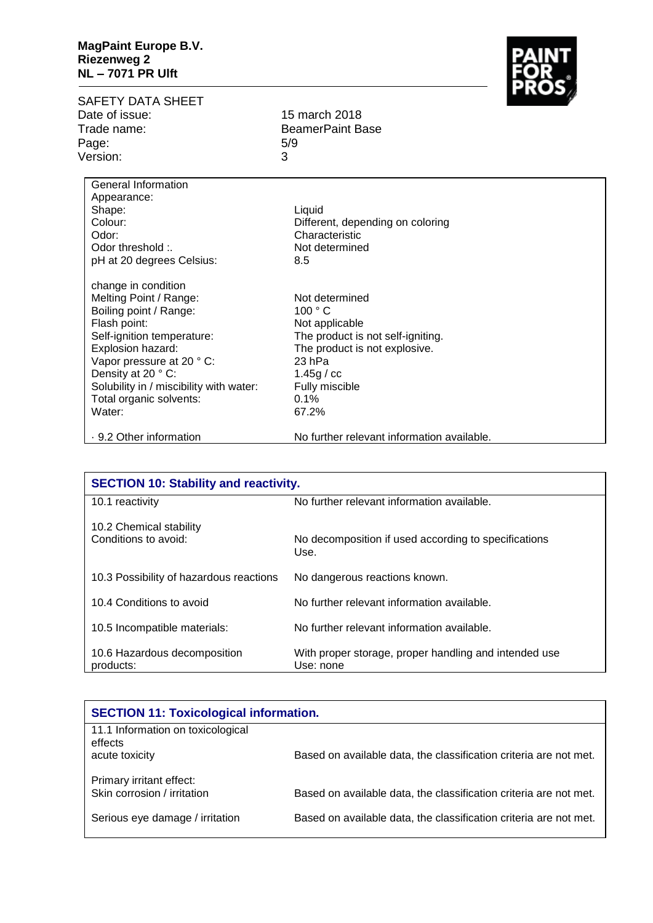## **MagPaint Europe B.V. Riezenweg 2 NL – 7071 PR Ulft**

SAFETY DATA SHEET<br>Date of issue: Trade name: BeamerPaint Base Page: 5/9 Version: 3

15 march 2018

General Information Appearance: Shape: Colour: Odor: Odor threshold :. pH at 20 degrees Celsius: change in condition Melting Point / Range: Boiling point / Range: Flash point: Self-ignition temperature: Explosion hazard: Vapor pressure at 20 ° C: Density at 20 ° C: Solubility in / miscibility with water: Total organic solvents: Water: · 9.2 Other information Liquid Different, depending on coloring Characteristic Not determined 8.5 Not determined 100 ° C Not applicable The product is not self-igniting. The product is not explosive. 23 hPa 1.45g / cc Fully miscible 0.1% 67.2% No further relevant information available.

| <b>SECTION 10: Stability and reactivity.</b>    |                                                                    |  |
|-------------------------------------------------|--------------------------------------------------------------------|--|
| 10.1 reactivity                                 | No further relevant information available.                         |  |
| 10.2 Chemical stability<br>Conditions to avoid: | No decomposition if used according to specifications<br>Use.       |  |
| 10.3 Possibility of hazardous reactions         | No dangerous reactions known.                                      |  |
| 10.4 Conditions to avoid                        | No further relevant information available.                         |  |
| 10.5 Incompatible materials:                    | No further relevant information available.                         |  |
| 10.6 Hazardous decomposition<br>products:       | With proper storage, proper handling and intended use<br>Use: none |  |

| <b>SECTION 11: Toxicological information.</b>                  |                                                                   |
|----------------------------------------------------------------|-------------------------------------------------------------------|
| 11.1 Information on toxicological<br>effects<br>acute toxicity | Based on available data, the classification criteria are not met. |
| Primary irritant effect:<br>Skin corrosion / irritation        | Based on available data, the classification criteria are not met. |
| Serious eye damage / irritation                                | Based on available data, the classification criteria are not met. |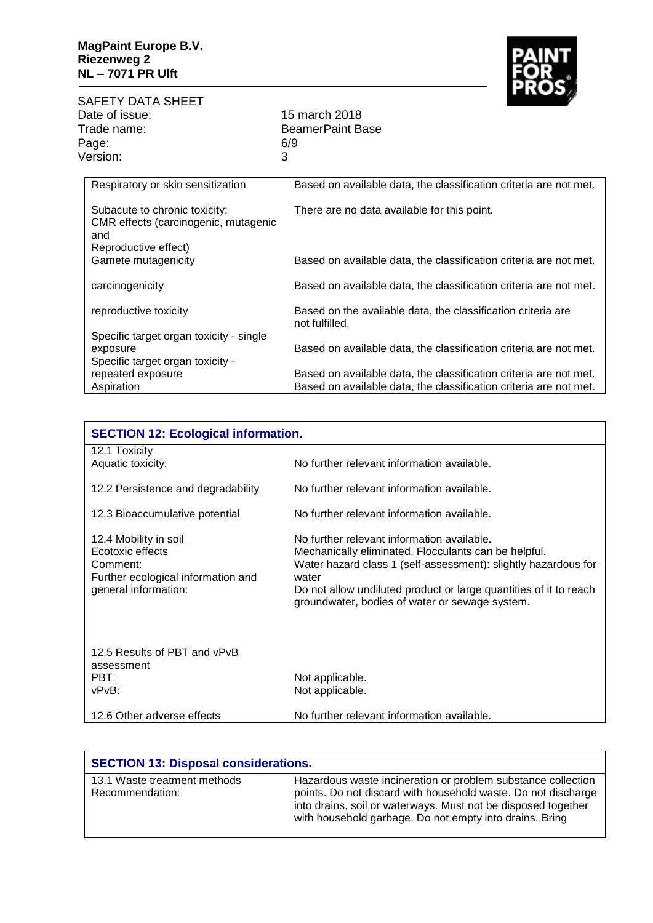

SAFETY DATA SHEET Date of issue: 15 march 2018<br>Trade name: 15 march 2018 Page: 6/<br>Version: 3 Version:

BeamerPaint Base<br>6/9

| Respiratory or skin sensitization                                                                    | Based on available data, the classification criteria are not met.              |
|------------------------------------------------------------------------------------------------------|--------------------------------------------------------------------------------|
| Subacute to chronic toxicity:<br>CMR effects (carcinogenic, mutagenic<br>and<br>Reproductive effect) | There are no data available for this point.                                    |
| Gamete mutagenicity                                                                                  | Based on available data, the classification criteria are not met.              |
| carcinogenicity                                                                                      | Based on available data, the classification criteria are not met.              |
| reproductive toxicity                                                                                | Based on the available data, the classification criteria are<br>not fulfilled. |
| Specific target organ toxicity - single<br>exposure                                                  | Based on available data, the classification criteria are not met.              |
| Specific target organ toxicity -                                                                     |                                                                                |
| repeated exposure                                                                                    | Based on available data, the classification criteria are not met.              |
| Aspiration                                                                                           | Based on available data, the classification criteria are not met.              |

| <b>SECTION 12: Ecological information.</b>                                                                          |                                                                                                                                                                                                                                                                                                      |  |  |
|---------------------------------------------------------------------------------------------------------------------|------------------------------------------------------------------------------------------------------------------------------------------------------------------------------------------------------------------------------------------------------------------------------------------------------|--|--|
| 12.1 Toxicity<br>Aquatic toxicity:                                                                                  | No further relevant information available.                                                                                                                                                                                                                                                           |  |  |
| 12.2 Persistence and degradability                                                                                  | No further relevant information available.                                                                                                                                                                                                                                                           |  |  |
| 12.3 Bioaccumulative potential                                                                                      | No further relevant information available.                                                                                                                                                                                                                                                           |  |  |
| 12.4 Mobility in soil<br>Ecotoxic effects<br>Comment:<br>Further ecological information and<br>general information: | No further relevant information available.<br>Mechanically eliminated. Flocculants can be helpful.<br>Water hazard class 1 (self-assessment): slightly hazardous for<br>water<br>Do not allow undiluted product or large quantities of it to reach<br>groundwater, bodies of water or sewage system. |  |  |
| 12.5 Results of PBT and vPvB<br>assessment<br>PBT:<br>vPvB:                                                         | Not applicable.<br>Not applicable.                                                                                                                                                                                                                                                                   |  |  |
| 12.6 Other adverse effects                                                                                          | No further relevant information available.                                                                                                                                                                                                                                                           |  |  |

| <b>SECTION 13: Disposal considerations.</b>     |                                                                                                                                                                                                                                                           |  |
|-------------------------------------------------|-----------------------------------------------------------------------------------------------------------------------------------------------------------------------------------------------------------------------------------------------------------|--|
| 13.1 Waste treatment methods<br>Recommendation: | Hazardous waste incineration or problem substance collection<br>points. Do not discard with household waste. Do not discharge<br>into drains, soil or waterways. Must not be disposed together<br>with household garbage. Do not empty into drains. Bring |  |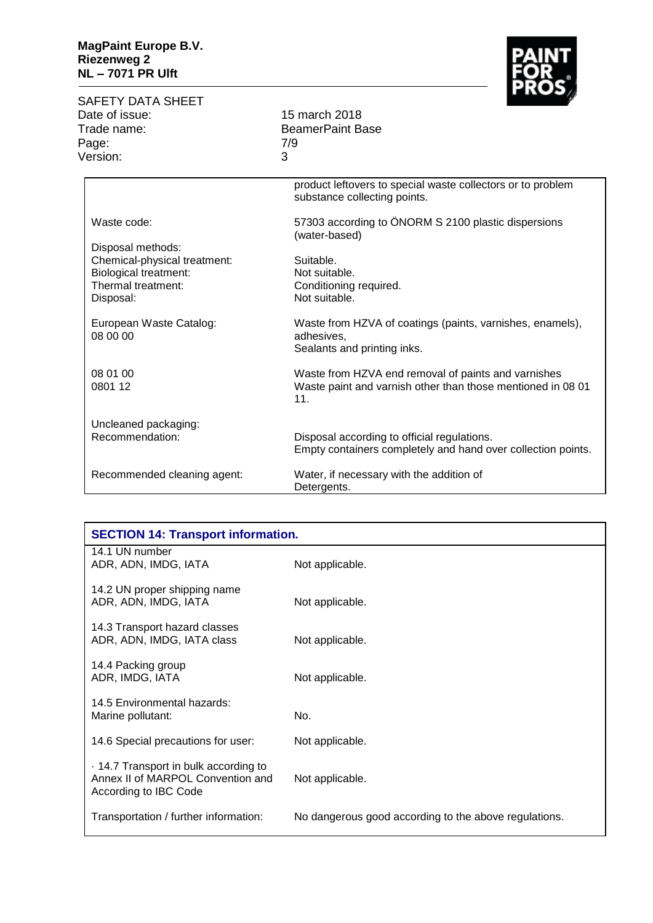## **MagPaint Europe B.V. Riezenweg 2 NL – 7071 PR Ulft**

| SAFETY DATA SHEET |     |
|-------------------|-----|
| Date of issue:    | 15  |
| Trade name:       | Bea |
| Page:             | 7/9 |
| Version:          | ີ   |

BeamerPaint Base<br>7/9

15 march 2018

|                                     | product leftovers to special waste collectors or to problem<br>substance collecting points.            |
|-------------------------------------|--------------------------------------------------------------------------------------------------------|
| Waste code:                         | 57303 according to ÖNORM S 2100 plastic dispersions<br>(water-based)                                   |
| Disposal methods:                   |                                                                                                        |
| Chemical-physical treatment:        | Suitable.                                                                                              |
| <b>Biological treatment:</b>        | Not suitable.                                                                                          |
| Thermal treatment:                  | Conditioning required.                                                                                 |
| Disposal:                           | Not suitable.                                                                                          |
| European Waste Catalog:<br>08 00 00 | Waste from HZVA of coatings (paints, varnishes, enamels),<br>adhesives,<br>Sealants and printing inks. |
| 08 01 00                            | Waste from HZVA end removal of paints and varnishes                                                    |
| 0801 12                             | Waste paint and varnish other than those mentioned in 08 01<br>11.                                     |
| Uncleaned packaging:                |                                                                                                        |
| Recommendation:                     | Disposal according to official regulations.                                                            |
|                                     | Empty containers completely and hand over collection points.                                           |
| Recommended cleaning agent:         | Water, if necessary with the addition of<br>Detergents.                                                |

| <b>SECTION 14: Transport information.</b>                                                           |                                                       |  |  |
|-----------------------------------------------------------------------------------------------------|-------------------------------------------------------|--|--|
| 14.1 UN number<br>ADR, ADN, IMDG, IATA                                                              | Not applicable.                                       |  |  |
| 14.2 UN proper shipping name<br>ADR, ADN, IMDG, IATA                                                | Not applicable.                                       |  |  |
| 14.3 Transport hazard classes<br>ADR, ADN, IMDG, IATA class                                         | Not applicable.                                       |  |  |
| 14.4 Packing group<br>ADR, IMDG, IATA                                                               | Not applicable.                                       |  |  |
| 14.5 Environmental hazards:<br>Marine pollutant:                                                    | No.                                                   |  |  |
| 14.6 Special precautions for user:                                                                  | Not applicable.                                       |  |  |
| . 14.7 Transport in bulk according to<br>Annex II of MARPOL Convention and<br>According to IBC Code | Not applicable.                                       |  |  |
| Transportation / further information:                                                               | No dangerous good according to the above regulations. |  |  |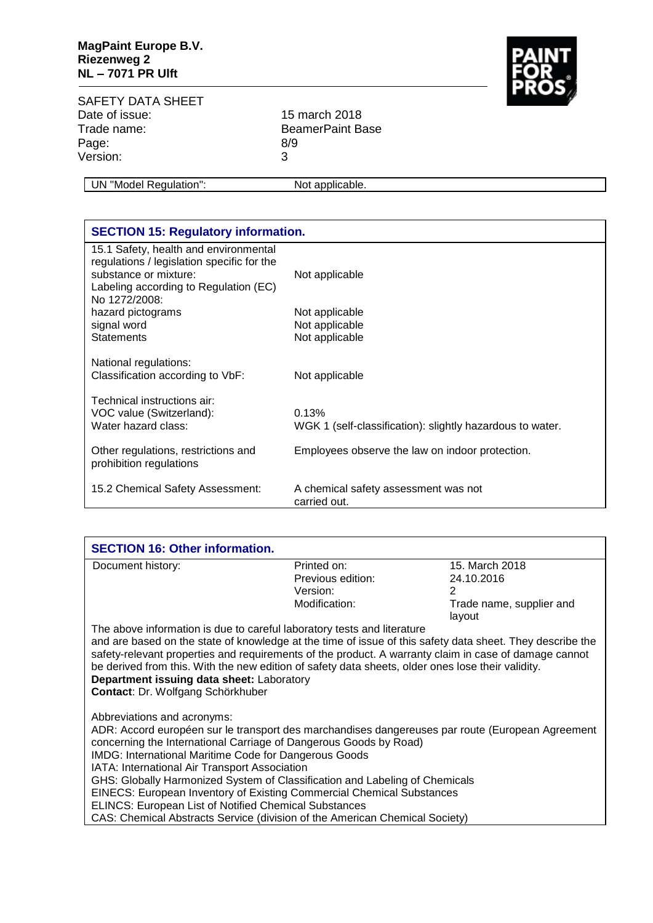

SAFETY DATA SHEET<br>Date of issue: Date of issue: 15 march 2018<br>Trade name: 15 march 2018 Page: 8/9<br>Version: 3 Version:

BeamerPaint Base

UN "Model Regulation": Not applicable.

| <b>SECTION 15: Regulatory information.</b>                                          |                                                           |  |  |  |
|-------------------------------------------------------------------------------------|-----------------------------------------------------------|--|--|--|
| 15.1 Safety, health and environmental<br>regulations / legislation specific for the |                                                           |  |  |  |
| substance or mixture:                                                               | Not applicable                                            |  |  |  |
| Labeling according to Regulation (EC)<br>No 1272/2008:                              |                                                           |  |  |  |
| hazard pictograms                                                                   | Not applicable                                            |  |  |  |
| signal word                                                                         | Not applicable                                            |  |  |  |
| <b>Statements</b>                                                                   | Not applicable                                            |  |  |  |
| National regulations:<br>Classification according to VbF:                           | Not applicable                                            |  |  |  |
| Technical instructions air:                                                         |                                                           |  |  |  |
| VOC value (Switzerland):                                                            | 0.13%                                                     |  |  |  |
| Water hazard class:                                                                 | WGK 1 (self-classification): slightly hazardous to water. |  |  |  |
|                                                                                     |                                                           |  |  |  |
| Other regulations, restrictions and<br>prohibition regulations                      | Employees observe the law on indoor protection.           |  |  |  |
| 15.2 Chemical Safety Assessment:                                                    | A chemical safety assessment was not                      |  |  |  |
|                                                                                     | carried out.                                              |  |  |  |

| <b>SECTION 16: Other information.</b>                                                                                                                                                                                                                                                                                                                                                                                                                                                                                                                |                   |                                    |  |  |
|------------------------------------------------------------------------------------------------------------------------------------------------------------------------------------------------------------------------------------------------------------------------------------------------------------------------------------------------------------------------------------------------------------------------------------------------------------------------------------------------------------------------------------------------------|-------------------|------------------------------------|--|--|
| Document history:                                                                                                                                                                                                                                                                                                                                                                                                                                                                                                                                    | Printed on:       | 15. March 2018                     |  |  |
|                                                                                                                                                                                                                                                                                                                                                                                                                                                                                                                                                      | Previous edition: | 24.10.2016                         |  |  |
|                                                                                                                                                                                                                                                                                                                                                                                                                                                                                                                                                      | Version:          | 2                                  |  |  |
|                                                                                                                                                                                                                                                                                                                                                                                                                                                                                                                                                      | Modification:     | Trade name, supplier and<br>layout |  |  |
| The above information is due to careful laboratory tests and literature                                                                                                                                                                                                                                                                                                                                                                                                                                                                              |                   |                                    |  |  |
| and are based on the state of knowledge at the time of issue of this safety data sheet. They describe the<br>safety-relevant properties and requirements of the product. A warranty claim in case of damage cannot<br>be derived from this. With the new edition of safety data sheets, older ones lose their validity.<br>Department issuing data sheet: Laboratory<br>Contact: Dr. Wolfgang Schörkhuber                                                                                                                                            |                   |                                    |  |  |
| Abbreviations and acronyms:<br>ADR: Accord européen sur le transport des marchandises dangereuses par route (European Agreement<br>concerning the International Carriage of Dangerous Goods by Road)<br><b>IMDG: International Maritime Code for Dangerous Goods</b><br>IATA: International Air Transport Association<br>GHS: Globally Harmonized System of Classification and Labeling of Chemicals<br><b>EINECS: European Inventory of Existing Commercial Chemical Substances</b><br><b>ELINCS: European List of Notified Chemical Substances</b> |                   |                                    |  |  |
| CAS: Chemical Abstracts Service (division of the American Chemical Society)                                                                                                                                                                                                                                                                                                                                                                                                                                                                          |                   |                                    |  |  |